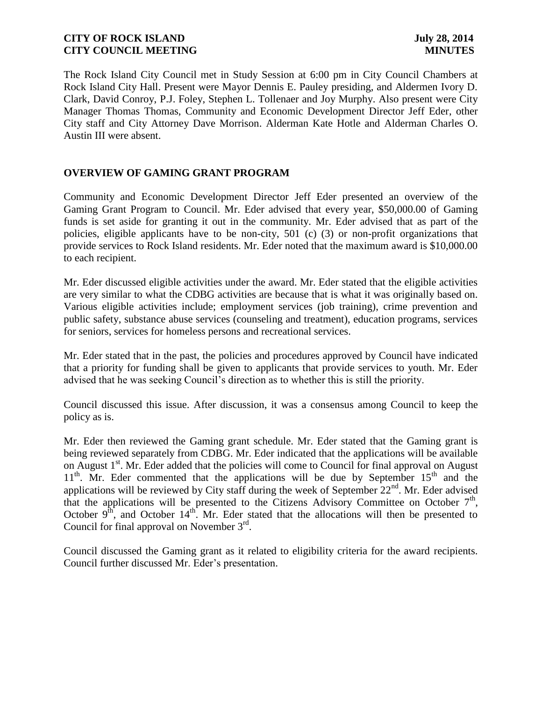The Rock Island City Council met in Study Session at 6:00 pm in City Council Chambers at Rock Island City Hall. Present were Mayor Dennis E. Pauley presiding, and Aldermen Ivory D. Clark, David Conroy, P.J. Foley, Stephen L. Tollenaer and Joy Murphy. Also present were City Manager Thomas Thomas, Community and Economic Development Director Jeff Eder, other City staff and City Attorney Dave Morrison. Alderman Kate Hotle and Alderman Charles O. Austin III were absent.

### **OVERVIEW OF GAMING GRANT PROGRAM**

Community and Economic Development Director Jeff Eder presented an overview of the Gaming Grant Program to Council. Mr. Eder advised that every year, \$50,000.00 of Gaming funds is set aside for granting it out in the community. Mr. Eder advised that as part of the policies, eligible applicants have to be non-city, 501 (c) (3) or non-profit organizations that provide services to Rock Island residents. Mr. Eder noted that the maximum award is \$10,000.00 to each recipient.

Mr. Eder discussed eligible activities under the award. Mr. Eder stated that the eligible activities are very similar to what the CDBG activities are because that is what it was originally based on. Various eligible activities include; employment services (job training), crime prevention and public safety, substance abuse services (counseling and treatment), education programs, services for seniors, services for homeless persons and recreational services.

Mr. Eder stated that in the past, the policies and procedures approved by Council have indicated that a priority for funding shall be given to applicants that provide services to youth. Mr. Eder advised that he was seeking Council's direction as to whether this is still the priority.

Council discussed this issue. After discussion, it was a consensus among Council to keep the policy as is.

Mr. Eder then reviewed the Gaming grant schedule. Mr. Eder stated that the Gaming grant is being reviewed separately from CDBG. Mr. Eder indicated that the applications will be available on August 1<sup>st</sup>. Mr. Eder added that the policies will come to Council for final approval on August  $11<sup>th</sup>$ . Mr. Eder commented that the applications will be due by September  $15<sup>th</sup>$  and the applications will be reviewed by City staff during the week of September  $22<sup>nd</sup>$ . Mr. Eder advised that the applications will be presented to the Citizens Advisory Committee on October  $7<sup>th</sup>$ , October  $9<sup>th</sup>$ , and October  $14<sup>th</sup>$ . Mr. Eder stated that the allocations will then be presented to Council for final approval on November  $3<sup>rd</sup>$ .

Council discussed the Gaming grant as it related to eligibility criteria for the award recipients. Council further discussed Mr. Eder's presentation.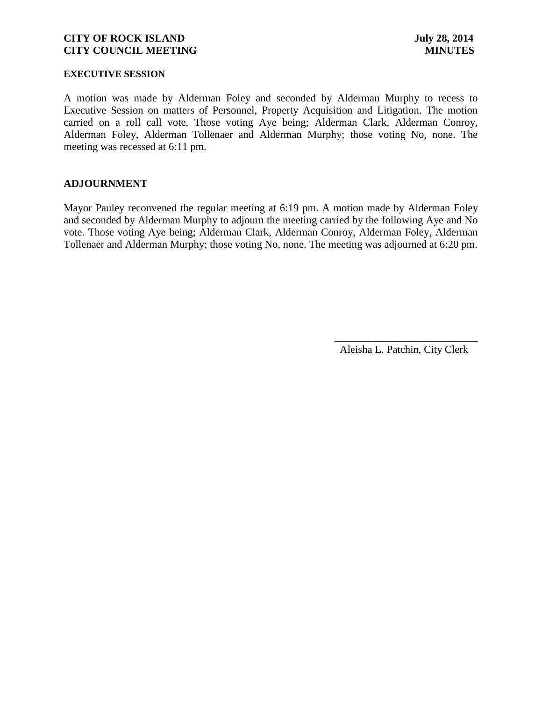#### **EXECUTIVE SESSION**

A motion was made by Alderman Foley and seconded by Alderman Murphy to recess to Executive Session on matters of Personnel, Property Acquisition and Litigation. The motion carried on a roll call vote. Those voting Aye being; Alderman Clark, Alderman Conroy, Alderman Foley, Alderman Tollenaer and Alderman Murphy; those voting No, none. The meeting was recessed at 6:11 pm.

#### **ADJOURNMENT**

Mayor Pauley reconvened the regular meeting at 6:19 pm. A motion made by Alderman Foley and seconded by Alderman Murphy to adjourn the meeting carried by the following Aye and No vote. Those voting Aye being; Alderman Clark, Alderman Conroy, Alderman Foley, Alderman Tollenaer and Alderman Murphy; those voting No, none. The meeting was adjourned at 6:20 pm.

Aleisha L. Patchin, City Clerk

 $\frac{1}{2}$  , and the set of the set of the set of the set of the set of the set of the set of the set of the set of the set of the set of the set of the set of the set of the set of the set of the set of the set of the set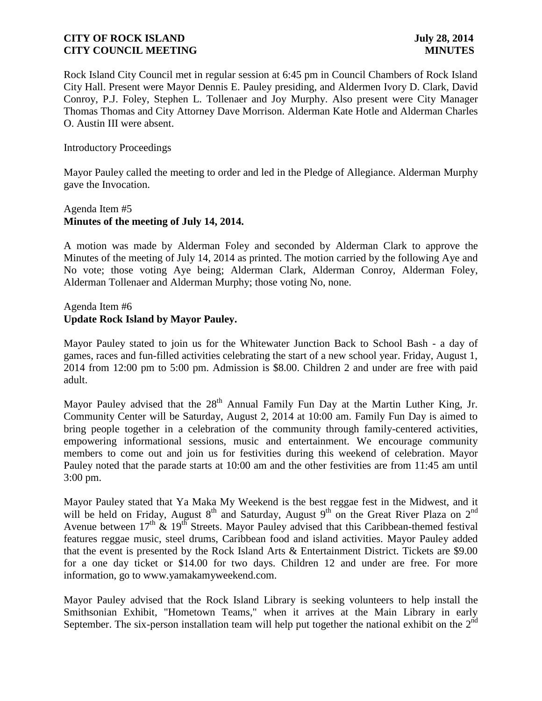Rock Island City Council met in regular session at 6:45 pm in Council Chambers of Rock Island City Hall. Present were Mayor Dennis E. Pauley presiding, and Aldermen Ivory D. Clark, David Conroy, P.J. Foley, Stephen L. Tollenaer and Joy Murphy. Also present were City Manager Thomas Thomas and City Attorney Dave Morrison. Alderman Kate Hotle and Alderman Charles O. Austin III were absent.

#### Introductory Proceedings

Mayor Pauley called the meeting to order and led in the Pledge of Allegiance. Alderman Murphy gave the Invocation.

# Agenda Item #5 **Minutes of the meeting of July 14, 2014.**

A motion was made by Alderman Foley and seconded by Alderman Clark to approve the Minutes of the meeting of July 14, 2014 as printed. The motion carried by the following Aye and No vote; those voting Aye being; Alderman Clark, Alderman Conroy, Alderman Foley, Alderman Tollenaer and Alderman Murphy; those voting No, none.

### Agenda Item #6 **Update Rock Island by Mayor Pauley.**

Mayor Pauley stated to join us for the Whitewater Junction Back to School Bash - a day of games, races and fun-filled activities celebrating the start of a new school year. Friday, August 1, 2014 from 12:00 pm to 5:00 pm. Admission is \$8.00. Children 2 and under are free with paid adult.

Mayor Pauley advised that the  $28<sup>th</sup>$  Annual Family Fun Day at the Martin Luther King, Jr. Community Center will be Saturday, August 2, 2014 at 10:00 am. Family Fun Day is aimed to bring people together in a celebration of the community through family-centered activities, empowering informational sessions, music and entertainment. We encourage community members to come out and join us for festivities during this weekend of celebration. Mayor Pauley noted that the parade starts at 10:00 am and the other festivities are from 11:45 am until 3:00 pm.

Mayor Pauley stated that Ya Maka My Weekend is the best reggae fest in the Midwest, and it will be held on Friday, August  $8<sup>th</sup>$  and Saturday, August  $9<sup>th</sup>$  on the Great River Plaza on  $2<sup>nd</sup>$ Avenue between  $17<sup>th</sup>$  &  $19<sup>th</sup>$  Streets. Mayor Pauley advised that this Caribbean-themed festival features reggae music, steel drums, Caribbean food and island activities. Mayor Pauley added that the event is presented by the Rock Island Arts & Entertainment District. Tickets are \$9.00 for a one day ticket or \$14.00 for two days. Children 12 and under are free. For more information, go to www.yamakamyweekend.com.

Mayor Pauley advised that the Rock Island Library is seeking volunteers to help install the Smithsonian Exhibit, "Hometown Teams," when it arrives at the Main Library in early September. The six-person installation team will help put together the national exhibit on the  $2^{nd}$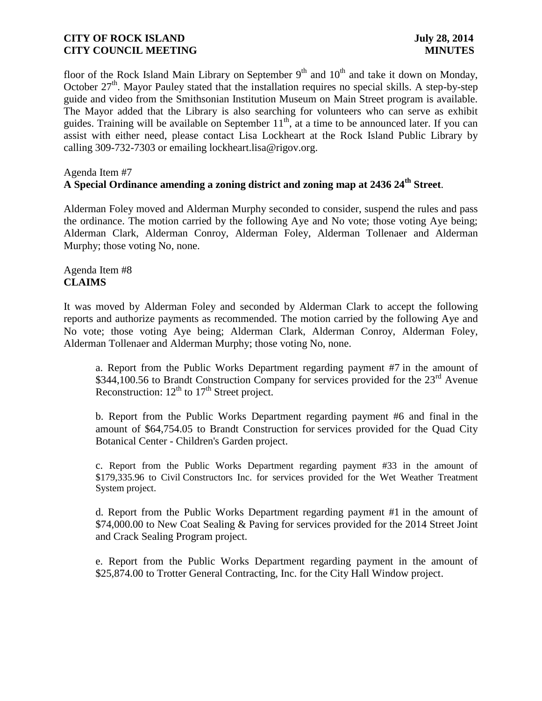floor of the Rock Island Main Library on September  $9<sup>th</sup>$  and  $10<sup>th</sup>$  and take it down on Monday, October  $27<sup>th</sup>$ . Mayor Pauley stated that the installation requires no special skills. A step-by-step guide and video from the Smithsonian Institution Museum on Main Street program is available. The Mayor added that the Library is also searching for volunteers who can serve as exhibit guides. Training will be available on September  $11<sup>th</sup>$ , at a time to be announced later. If you can assist with either need, please contact Lisa Lockheart at the Rock Island Public Library by calling 309-732-7303 or emailing lockheart.lisa@rigov.org.

#### Agenda Item #7 **A Special Ordinance amending a zoning district and zoning map at 2436 24th Street**.

Alderman Foley moved and Alderman Murphy seconded to consider, suspend the rules and pass the ordinance. The motion carried by the following Aye and No vote; those voting Aye being; Alderman Clark, Alderman Conroy, Alderman Foley, Alderman Tollenaer and Alderman Murphy; those voting No, none.

Agenda Item #8 **CLAIMS**

It was moved by Alderman Foley and seconded by Alderman Clark to accept the following reports and authorize payments as recommended. The motion carried by the following Aye and No vote; those voting Aye being; Alderman Clark, Alderman Conroy, Alderman Foley, Alderman Tollenaer and Alderman Murphy; those voting No, none.

a. Report from the Public Works Department regarding payment #7 in the amount of \$344,100.56 to Brandt Construction Company for services provided for the 23<sup>rd</sup> Avenue Reconstruction:  $12^{th}$  to  $17^{th}$  Street project.

b. Report from the Public Works Department regarding payment #6 and final in the amount of \$64,754.05 to Brandt Construction for services provided for the Quad City Botanical Center - Children's Garden project.

c. Report from the Public Works Department regarding payment #33 in the amount of \$179,335.96 to Civil Constructors Inc. for services provided for the Wet Weather Treatment System project.

d. Report from the Public Works Department regarding payment #1 in the amount of \$74,000.00 to New Coat Sealing & Paving for services provided for the 2014 Street Joint and Crack Sealing Program project.

e. Report from the Public Works Department regarding payment in the amount of \$25,874.00 to Trotter General Contracting, Inc. for the City Hall Window project.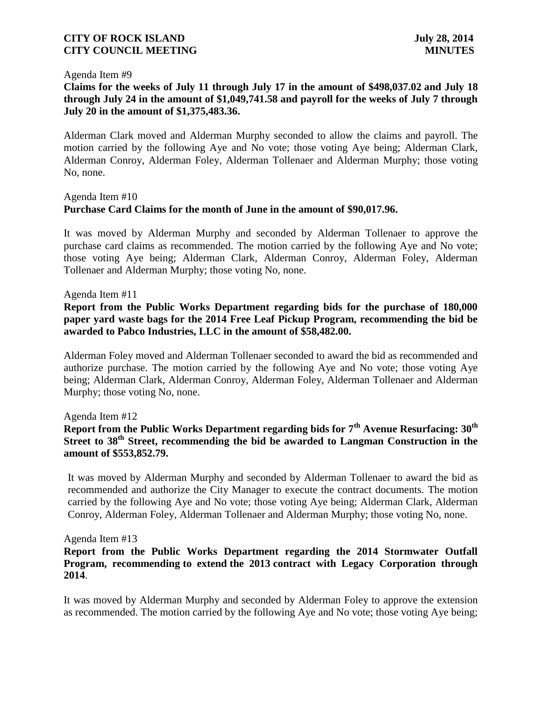#### Agenda Item #9

# **Claims for the weeks of July 11 through July 17 in the amount of \$498,037.02 and July 18 through July 24 in the amount of \$1,049,741.58 and payroll for the weeks of July 7 through July 20 in the amount of \$1,375,483.36.**

Alderman Clark moved and Alderman Murphy seconded to allow the claims and payroll. The motion carried by the following Aye and No vote; those voting Aye being; Alderman Clark, Alderman Conroy, Alderman Foley, Alderman Tollenaer and Alderman Murphy; those voting No, none.

# Agenda Item #10 **Purchase Card Claims for the month of June in the amount of \$90,017.96.**

It was moved by Alderman Murphy and seconded by Alderman Tollenaer to approve the purchase card claims as recommended. The motion carried by the following Aye and No vote; those voting Aye being; Alderman Clark, Alderman Conroy, Alderman Foley, Alderman Tollenaer and Alderman Murphy; those voting No, none.

#### Agenda Item #11

**Report from the Public Works Department regarding bids for the purchase of 180,000 paper yard waste bags for the 2014 Free Leaf Pickup Program, recommending the bid be awarded to Pabco Industries, LLC in the amount of \$58,482.00.**

Alderman Foley moved and Alderman Tollenaer seconded to award the bid as recommended and authorize purchase. The motion carried by the following Aye and No vote; those voting Aye being; Alderman Clark, Alderman Conroy, Alderman Foley, Alderman Tollenaer and Alderman Murphy; those voting No, none.

#### Agenda Item #12

# **Report from the Public Works Department regarding bids for 7th Avenue Resurfacing: 30th Street to 38th Street, recommending the bid be awarded to Langman Construction in the amount of \$553,852.79.**

It was moved by Alderman Murphy and seconded by Alderman Tollenaer to award the bid as recommended and authorize the City Manager to execute the contract documents. The motion carried by the following Aye and No vote; those voting Aye being; Alderman Clark, Alderman Conroy, Alderman Foley, Alderman Tollenaer and Alderman Murphy; those voting No, none.

#### Agenda Item #13

#### **Report from the Public Works Department regarding the 2014 Stormwater Outfall Program, recommending to extend the 2013 contract with Legacy Corporation through 2014**.

It was moved by Alderman Murphy and seconded by Alderman Foley to approve the extension as recommended. The motion carried by the following Aye and No vote; those voting Aye being;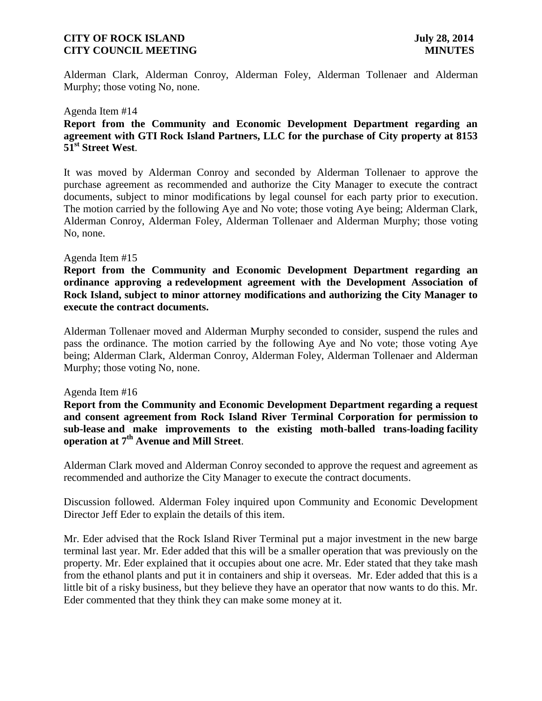Alderman Clark, Alderman Conroy, Alderman Foley, Alderman Tollenaer and Alderman Murphy; those voting No, none.

#### Agenda Item #14

# **Report from the Community and Economic Development Department regarding an agreement with GTI Rock Island Partners, LLC for the purchase of City property at 8153 51st Street West**.

It was moved by Alderman Conroy and seconded by Alderman Tollenaer to approve the purchase agreement as recommended and authorize the City Manager to execute the contract documents, subject to minor modifications by legal counsel for each party prior to execution. The motion carried by the following Aye and No vote; those voting Aye being; Alderman Clark, Alderman Conroy, Alderman Foley, Alderman Tollenaer and Alderman Murphy; those voting No, none.

#### Agenda Item #15

**Report from the Community and Economic Development Department regarding an ordinance approving a redevelopment agreement with the Development Association of Rock Island, subject to minor attorney modifications and authorizing the City Manager to execute the contract documents.**

Alderman Tollenaer moved and Alderman Murphy seconded to consider, suspend the rules and pass the ordinance. The motion carried by the following Aye and No vote; those voting Aye being; Alderman Clark, Alderman Conroy, Alderman Foley, Alderman Tollenaer and Alderman Murphy; those voting No, none.

#### Agenda Item #16

**Report from the Community and Economic Development Department regarding a request and consent agreement from Rock Island River Terminal Corporation for permission to sub-lease and make improvements to the existing moth-balled trans-loading facility operation at 7th Avenue and Mill Street**.

Alderman Clark moved and Alderman Conroy seconded to approve the request and agreement as recommended and authorize the City Manager to execute the contract documents.

Discussion followed. Alderman Foley inquired upon Community and Economic Development Director Jeff Eder to explain the details of this item.

Mr. Eder advised that the Rock Island River Terminal put a major investment in the new barge terminal last year. Mr. Eder added that this will be a smaller operation that was previously on the property. Mr. Eder explained that it occupies about one acre. Mr. Eder stated that they take mash from the ethanol plants and put it in containers and ship it overseas. Mr. Eder added that this is a little bit of a risky business, but they believe they have an operator that now wants to do this. Mr. Eder commented that they think they can make some money at it.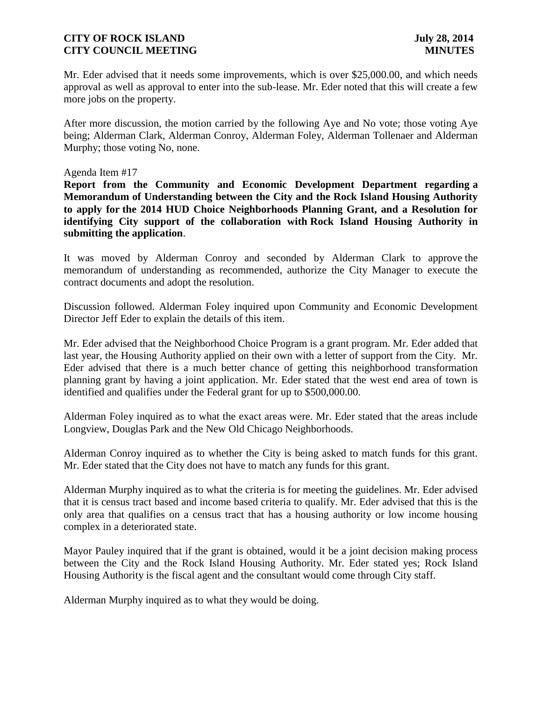Mr. Eder advised that it needs some improvements, which is over \$25,000.00, and which needs approval as well as approval to enter into the sub-lease. Mr. Eder noted that this will create a few more jobs on the property.

After more discussion, the motion carried by the following Aye and No vote; those voting Aye being; Alderman Clark, Alderman Conroy, Alderman Foley, Alderman Tollenaer and Alderman Murphy; those voting No, none.

#### Agenda Item #17

**Report from the Community and Economic Development Department regarding a Memorandum of Understanding between the City and the Rock Island Housing Authority to apply for the 2014 HUD Choice Neighborhoods Planning Grant, and a Resolution for identifying City support of the collaboration with Rock Island Housing Authority in submitting the application**.

It was moved by Alderman Conroy and seconded by Alderman Clark to approve the memorandum of understanding as recommended, authorize the City Manager to execute the contract documents and adopt the resolution.

Discussion followed. Alderman Foley inquired upon Community and Economic Development Director Jeff Eder to explain the details of this item.

Mr. Eder advised that the Neighborhood Choice Program is a grant program. Mr. Eder added that last year, the Housing Authority applied on their own with a letter of support from the City. Mr. Eder advised that there is a much better chance of getting this neighborhood transformation planning grant by having a joint application. Mr. Eder stated that the west end area of town is identified and qualifies under the Federal grant for up to \$500,000.00.

Alderman Foley inquired as to what the exact areas were. Mr. Eder stated that the areas include Longview, Douglas Park and the New Old Chicago Neighborhoods.

Alderman Conroy inquired as to whether the City is being asked to match funds for this grant. Mr. Eder stated that the City does not have to match any funds for this grant.

Alderman Murphy inquired as to what the criteria is for meeting the guidelines. Mr. Eder advised that it is census tract based and income based criteria to qualify. Mr. Eder advised that this is the only area that qualifies on a census tract that has a housing authority or low income housing complex in a deteriorated state.

Mayor Pauley inquired that if the grant is obtained, would it be a joint decision making process between the City and the Rock Island Housing Authority. Mr. Eder stated yes; Rock Island Housing Authority is the fiscal agent and the consultant would come through City staff.

Alderman Murphy inquired as to what they would be doing.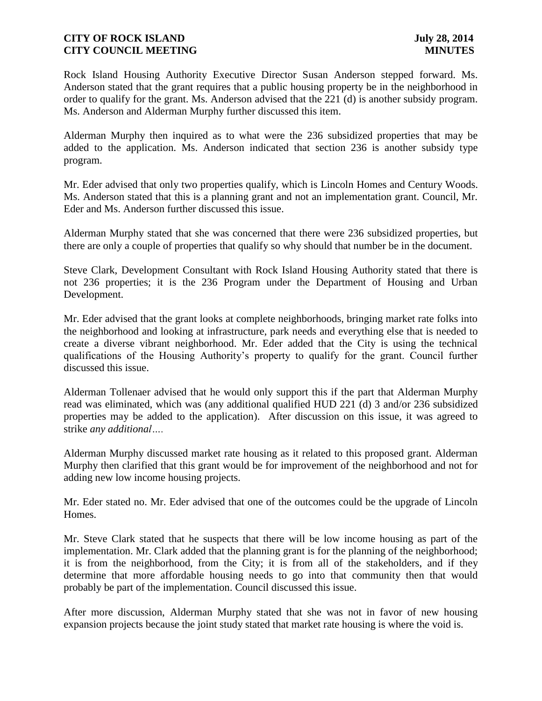Rock Island Housing Authority Executive Director Susan Anderson stepped forward. Ms. Anderson stated that the grant requires that a public housing property be in the neighborhood in order to qualify for the grant. Ms. Anderson advised that the 221 (d) is another subsidy program. Ms. Anderson and Alderman Murphy further discussed this item.

Alderman Murphy then inquired as to what were the 236 subsidized properties that may be added to the application. Ms. Anderson indicated that section 236 is another subsidy type program.

Mr. Eder advised that only two properties qualify, which is Lincoln Homes and Century Woods. Ms. Anderson stated that this is a planning grant and not an implementation grant. Council, Mr. Eder and Ms. Anderson further discussed this issue.

Alderman Murphy stated that she was concerned that there were 236 subsidized properties, but there are only a couple of properties that qualify so why should that number be in the document.

Steve Clark, Development Consultant with Rock Island Housing Authority stated that there is not 236 properties; it is the 236 Program under the Department of Housing and Urban Development.

Mr. Eder advised that the grant looks at complete neighborhoods, bringing market rate folks into the neighborhood and looking at infrastructure, park needs and everything else that is needed to create a diverse vibrant neighborhood. Mr. Eder added that the City is using the technical qualifications of the Housing Authority's property to qualify for the grant. Council further discussed this issue.

Alderman Tollenaer advised that he would only support this if the part that Alderman Murphy read was eliminated, which was (any additional qualified HUD 221 (d) 3 and/or 236 subsidized properties may be added to the application). After discussion on this issue, it was agreed to strike *any additional….*

Alderman Murphy discussed market rate housing as it related to this proposed grant. Alderman Murphy then clarified that this grant would be for improvement of the neighborhood and not for adding new low income housing projects.

Mr. Eder stated no. Mr. Eder advised that one of the outcomes could be the upgrade of Lincoln Homes.

Mr. Steve Clark stated that he suspects that there will be low income housing as part of the implementation. Mr. Clark added that the planning grant is for the planning of the neighborhood; it is from the neighborhood, from the City; it is from all of the stakeholders, and if they determine that more affordable housing needs to go into that community then that would probably be part of the implementation. Council discussed this issue.

After more discussion, Alderman Murphy stated that she was not in favor of new housing expansion projects because the joint study stated that market rate housing is where the void is.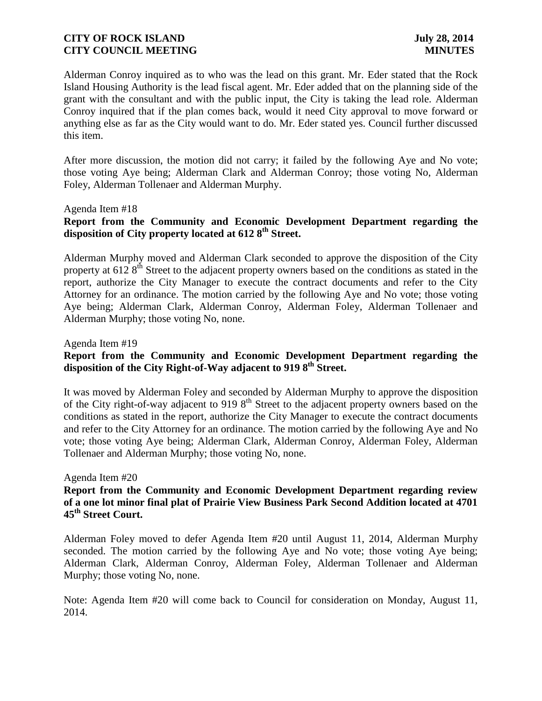Alderman Conroy inquired as to who was the lead on this grant. Mr. Eder stated that the Rock Island Housing Authority is the lead fiscal agent. Mr. Eder added that on the planning side of the grant with the consultant and with the public input, the City is taking the lead role. Alderman Conroy inquired that if the plan comes back, would it need City approval to move forward or anything else as far as the City would want to do. Mr. Eder stated yes. Council further discussed this item.

After more discussion, the motion did not carry; it failed by the following Aye and No vote; those voting Aye being; Alderman Clark and Alderman Conroy; those voting No, Alderman Foley, Alderman Tollenaer and Alderman Murphy.

Agenda Item #18

# **Report from the Community and Economic Development Department regarding the disposition of City property located at 612 8th Street.**

Alderman Murphy moved and Alderman Clark seconded to approve the disposition of the City property at 612 8<sup>th</sup> Street to the adjacent property owners based on the conditions as stated in the report, authorize the City Manager to execute the contract documents and refer to the City Attorney for an ordinance. The motion carried by the following Aye and No vote; those voting Aye being; Alderman Clark, Alderman Conroy, Alderman Foley, Alderman Tollenaer and Alderman Murphy; those voting No, none.

Agenda Item #19

# **Report from the Community and Economic Development Department regarding the disposition of the City Right-of-Way adjacent to 919 8th Street.**

It was moved by Alderman Foley and seconded by Alderman Murphy to approve the disposition of the City right-of-way adjacent to 919  $8<sup>th</sup>$  Street to the adjacent property owners based on the conditions as stated in the report, authorize the City Manager to execute the contract documents and refer to the City Attorney for an ordinance. The motion carried by the following Aye and No vote; those voting Aye being; Alderman Clark, Alderman Conroy, Alderman Foley, Alderman Tollenaer and Alderman Murphy; those voting No, none.

#### Agenda Item #20

## **Report from the Community and Economic Development Department regarding review of a one lot minor final plat of Prairie View Business Park Second Addition located at 4701 45th Street Court.**

Alderman Foley moved to defer Agenda Item #20 until August 11, 2014, Alderman Murphy seconded. The motion carried by the following Aye and No vote; those voting Aye being; Alderman Clark, Alderman Conroy, Alderman Foley, Alderman Tollenaer and Alderman Murphy; those voting No, none.

Note: Agenda Item #20 will come back to Council for consideration on Monday, August 11, 2014.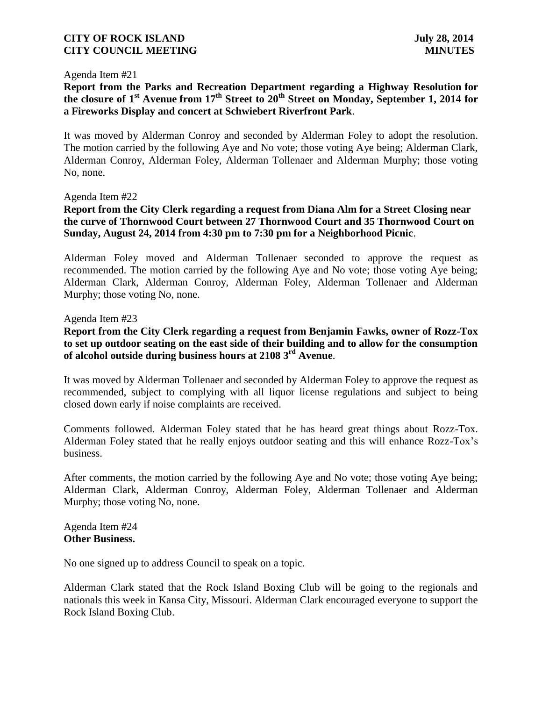#### Agenda Item #21

**Report from the Parks and Recreation Department regarding a Highway Resolution for the closure of 1st Avenue from 17th Street to 20th Street on Monday, September 1, 2014 for a Fireworks Display and concert at Schwiebert Riverfront Park**.

It was moved by Alderman Conroy and seconded by Alderman Foley to adopt the resolution. The motion carried by the following Aye and No vote; those voting Aye being; Alderman Clark, Alderman Conroy, Alderman Foley, Alderman Tollenaer and Alderman Murphy; those voting No, none.

#### Agenda Item #22

# **Report from the City Clerk regarding a request from Diana Alm for a Street Closing near the curve of Thornwood Court between 27 Thornwood Court and 35 Thornwood Court on Sunday, August 24, 2014 from 4:30 pm to 7:30 pm for a Neighborhood Picnic**.

Alderman Foley moved and Alderman Tollenaer seconded to approve the request as recommended. The motion carried by the following Aye and No vote; those voting Aye being; Alderman Clark, Alderman Conroy, Alderman Foley, Alderman Tollenaer and Alderman Murphy; those voting No, none.

#### Agenda Item #23

# **Report from the City Clerk regarding a request from Benjamin Fawks, owner of Rozz-Tox to set up outdoor seating on the east side of their building and to allow for the consumption of alcohol outside during business hours at 2108 3rd Avenue**.

It was moved by Alderman Tollenaer and seconded by Alderman Foley to approve the request as recommended, subject to complying with all liquor license regulations and subject to being closed down early if noise complaints are received.

Comments followed. Alderman Foley stated that he has heard great things about Rozz-Tox. Alderman Foley stated that he really enjoys outdoor seating and this will enhance Rozz-Tox's business.

After comments, the motion carried by the following Aye and No vote; those voting Aye being; Alderman Clark, Alderman Conroy, Alderman Foley, Alderman Tollenaer and Alderman Murphy; those voting No, none.

Agenda Item #24 **Other Business.**

No one signed up to address Council to speak on a topic.

Alderman Clark stated that the Rock Island Boxing Club will be going to the regionals and nationals this week in Kansa City, Missouri. Alderman Clark encouraged everyone to support the Rock Island Boxing Club.